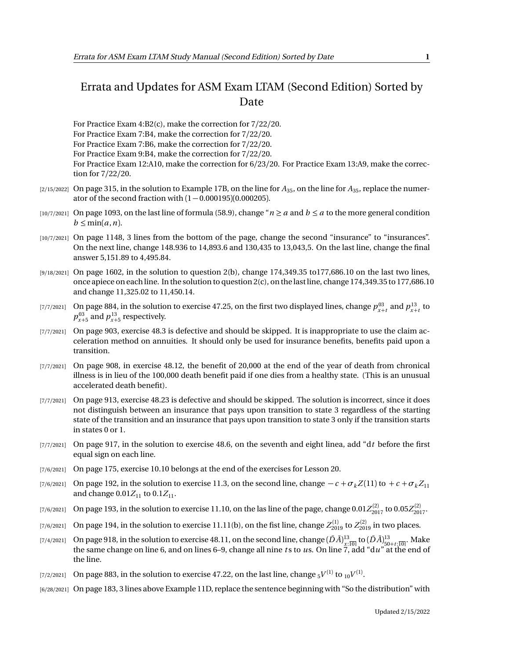## Errata and Updates for ASM Exam LTAM (Second Edition) Sorted by Date

For Practice Exam 4:B2(c), make the correction for 7/22/20. For Practice Exam 7:B4, make the correction for 7/22/20. For Practice Exam 7:B6, make the correction for 7/22/20. For Practice Exam 9:B4, make the correction for 7/22/20. For Practice Exam 12:A10, make the correction for 6/23/20. For Practice Exam 13:A9, make the correction for 7/22/20.

- [2/15/2022] On page 315, in the solution to Example 17B, on the line for  $A_{35}$ , on the line for  $A_{35}$ , replace the numerator of the second fraction with  $(1 - 0.000195)(0.000205)$ .
- [10/7/2021] On page 1093, on the last line of formula (58.9), change " $n \ge a$  and  $b \le a$  to the more general condition  $b \leq \min(a, n)$ .
- [10/7/2021] On page 1148, 3 lines from the bottom of the page, change the second "insurance" to "insurances". On the next line, change 148.936 to 14,893.6 and 130,435 to 13,043,5. On the last line, change the final answer 5,151.89 to 4,495.84.
- $[9/18/2021]$  On page 1602, in the solution to question 2(b), change 174,349.35 to 177,686.10 on the last two lines, once apiece on each line. In the solution to question 2(c), on the last line, change 174,349.35 to 177,686.10 and change 11,325.02 to 11,450.14.
- [7/7/2021] On page 884, in the solution to exercise 47.25, on the first two displayed lines, change  $p_{x+t}^{03}$  and  $p_{x+t}^{13}$  to  $p_{x+5}^{03}$  and  $p_{x+5}^{13}$  respectively.
- [7/7/2021] On page 903, exercise 48.3 is defective and should be skipped. It is inappropriate to use the claim acceleration method on annuities. It should only be used for insurance benefits, benefits paid upon a transition.
- [7/7/2021] On page 908, in exercise 48.12, the benefit of 20,000 at the end of the year of death from chronical illness is in lieu of the 100,000 death benefit paid if one dies from a healthy state. (This is an unusual accelerated death benefit).
- [7/7/2021] On page 913, exercise 48.23 is defective and should be skipped. The solution is incorrect, since it does not distinguish between an insurance that pays upon transition to state 3 regardless of the starting state of the transition and an insurance that pays upon transition to state 3 only if the transition starts in states 0 or 1.
- [7/7/2021] On page 917, in the solution to exercise 48.6, on the seventh and eight linea, add "d*t* before the first equal sign on each line.
- [7/6/2021] On page 175, exercise 10.10 belongs at the end of the exercises for Lesson 20.
- [7/6/2021] On page 192, in the solution to exercise 11.3, on the second line, change  $-c + \sigma_k Z(11)$  to  $+c + \sigma_k Z_11$ and change  $0.01Z_{11}$  to  $0.1Z_{11}$ .
- $_{[7/6/2021]}$  On page 193, in the solution to exercise 11.10, on the las line of the page, change  $0.01Z_{2017}^{(2)}$  to  $0.05Z_{2017}^{(2)}$ .
- $(7/6/2021]$  On page 194, in the solution to exercise  $11.11(b)$ , on the fist line, change  $Z_{2019}^{(1)}$  to  $Z_{2019}^{(2)}$  in two places.
- [7/4/2021] On page 918, in the solution to exercise 48.11, on the second line, change  $(\bar{D}\bar{A})^{13}_{x:\overline{10}|}$  to  $(\bar{D}\bar{A})^{13}_{50+t:\overline{10}|}$ . Make the same change on line 6, and on lines 6–9, change all nine ts to us. On the line.
- $_{[7/2/2021]}$  On page 883, in the solution to exercise 47.22, on the last line, change  $_{5}V^{(1)}$  to  $_{10}V^{(1)}.$
- [6/28/2021] On page 183, 3 lines above Example 11D, replace the sentence beginning with "So the distribution" with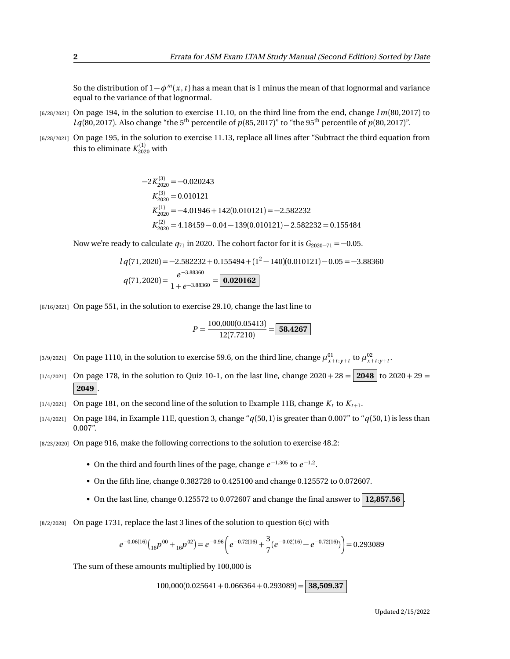So the distribution of 1−*φ<sup>m</sup>* (*x* ,*t* ) has a mean that is 1 minus the mean of that lognormal and variance equal to the variance of that lognormal.

- [6/28/2021] On page 194, in the solution to exercise 11.10, on the third line from the end, change *l m*(80, 2017) to  $l q(80, 2017)$ . Also change "the 5<sup>th</sup> percentile of  $p(85, 2017)$ " to "the 95<sup>th</sup> percentile of  $p(80, 2017)$ ".
- [6/28/2021] On page 195, in the solution to exercise 11.13, replace all lines after "Subtract the third equation from this to eliminate  $K_{2020}^{(1)}$  with

$$
-2K_{2020}^{(3)} = -0.020243
$$
  
\n
$$
K_{2020}^{(3)} = 0.010121
$$
  
\n
$$
K_{2020}^{(1)} = -4.01946 + 142(0.010121) = -2.582232
$$
  
\n
$$
K_{2020}^{(2)} = 4.18459 - 0.04 - 139(0.010121) - 2.582232 = 0.155484
$$

Now we're ready to calculate  $q_{71}$  in 2020. The cohort factor for it is  $G_{2020-71} = -0.05$ .

$$
lq(71,2020) = -2.582232 + 0.155494 + (1^2 - 140)(0.010121) - 0.05 = -3.88360
$$
  

$$
q(71,2020) = \frac{e^{-3.88360}}{1 + e^{-3.88360}} = \boxed{\textbf{0.020162}}
$$

[6/16/2021] On page 551, in the solution to exercise 29.10, change the last line to

$$
P = \frac{100,000(0.05413)}{12(7.7210)} = \boxed{58.4267}
$$

- [3/9/2021] On page 1110, in the solution to exercise 59.6, on the third line, change  $\mu_{x+t:y+t}^{01}$  to  $\mu_{x+t:y+t}^{02}$ .
- $\begin{bmatrix} 1/4/2021 \end{bmatrix}$  On page 178, in the solution to Quiz 10-1, on the last line, change 2020 + 28 = **2048** to 2020 + 29 = **2049** .
- $\lbrack 1/4/2021\rbrack$  On page 181, on the second line of the solution to Example 11B, change  $K_t$  to  $K_{t+1}.$
- [1/4/2021] On page 184, in Example 11E, question 3, change "*q*(50, 1) is greater than 0.007" to "*q*(50, 1) is less than 0.007".
- [8/23/2020] On page 916, make the following corrections to the solution to exercise 48.2:
	- On the third and fourth lines of the page, change *e* <sup>−</sup>1.305 to *e* −1.2 .
	- On the fifth line, change 0.382728 to 0.425100 and change 0.125572 to 0.072607.
	- On the last line, change 0.125572 to 0.072607 and change the final answer to  $\boxed{12,857.56}$
- $[8/2/2020]$  On page 1731, replace the last 3 lines of the solution to question 6(c) with

$$
e^{-0.06(16)}\left({_{16}}p^{00}+{}_{16}p^{02}\right)=e^{-0.96}\left(e^{-0.72(16)}+\frac{3}{7}(e^{-0.02(16)}-e^{-0.72(16)})\right)=0.293089
$$

The sum of these amounts multiplied by 100,000 is

100,000(0.025641 + 0.066364 + 0.293089) = **38,509.37**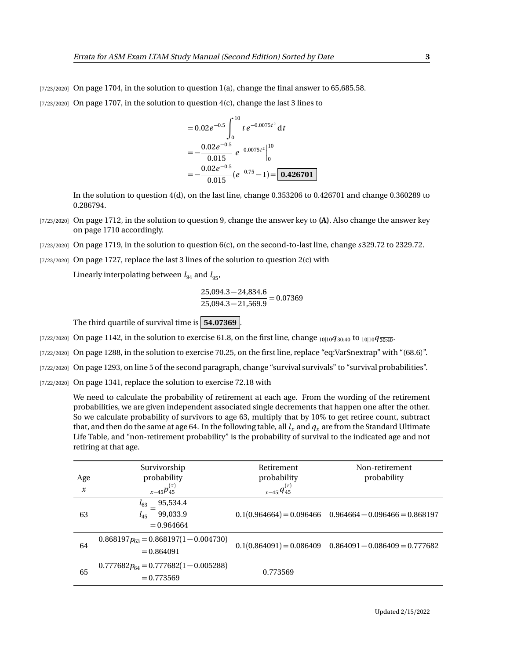$[7/23/2020]$  On page 1704, in the solution to question 1(a), change the final answer to 65,685.58.  $[7/23/2020]$  On page 1707, in the solution to question  $4(c)$ , change the last 3 lines to

$$
= 0.02e^{-0.5}\int_0^{10}te^{-0.0075t^2}dt
$$
  
=  $-\frac{0.02e^{-0.5}}{0.015}e^{-0.0075t^2}|_0^{10}$   
=  $-\frac{0.02e^{-0.5}}{0.015}(e^{-0.75}-1)=$  0.426701

In the solution to question 4(d), on the last line, change 0.353206 to 0.426701 and change 0.360289 to 0.286794.

- [7/23/2020] On page 1712, in the solution to question 9, change the answer key to **(A)**. Also change the answer key on page 1710 accordingly.
- [7/23/2020] On page 1719, in the solution to question 6(c), on the second-to-last line, change *s* 329.72 to 2329.72.
- [7/23/2020] On page 1727, replace the last 3 lines of the solution to question 2(c) with

Linearly interpolating between  $l_{94}$  and  $l_{95}^-$ ,

$$
\frac{25,094.3 - 24,834.6}{25,094.3 - 21,569.9} = 0.07369
$$

The third quartile of survival time is **54.07369** .

- [7/22/2020] On page 1142, in the solution to exercise 61.8, on the first line, change <sub>10|10</sub> $q_{30:40}$  to <sub>10|10</sub> $q_{30:40}$ .
- [7/22/2020] On page 1288, in the solution to exercise 70.25, on the first line, replace "eq:VarSnextrap" with "(68.6)".
- [7/22/2020] On page 1293, on line 5 of the second paragraph, change "survival survivals" to "survival probabilities".
- [7/22/2020] On page 1341, replace the solution to exercise 72.18 with

We need to calculate the probability of retirement at each age. From the wording of the retirement probabilities, we are given independent associated single decrements that happen one after the other. So we calculate probability of survivors to age 63, multiply that by 10% to get retiree count, subtract that, and then do the same at age 64. In the following table, all  $l<sub>x</sub>$  and  $q<sub>x</sub>$  are from the Standard Ultimate Life Table, and "non-retirement probability" is the probability of survival to the indicated age and not retiring at that age.

| Age<br>$\boldsymbol{x}$ | Survivorship<br>probability<br>$x_{-45}p_{45}^{(\tau)}$      | Retirement<br>probability<br>$x-45 q_{45}^{(r)}$ | Non-retirement<br>probability                               |
|-------------------------|--------------------------------------------------------------|--------------------------------------------------|-------------------------------------------------------------|
|                         |                                                              |                                                  |                                                             |
| 63                      | 95,534.4<br>$l_{63}$<br>99,033.9<br>$l_{45}$<br>$= 0.964664$ |                                                  | $0.1(0.964664) = 0.096466$ $0.964664 - 0.096466 = 0.868197$ |
| 64                      | $0.868197p_{63} = 0.868197(1 - 0.004730)$<br>$= 0.864091$    |                                                  | $0.1(0.864091) = 0.086409$ $0.864091 - 0.086409 = 0.777682$ |
| 65                      | $0.777682p_{64} = 0.777682(1 - 0.005288)$<br>$= 0.773569$    | 0.773569                                         |                                                             |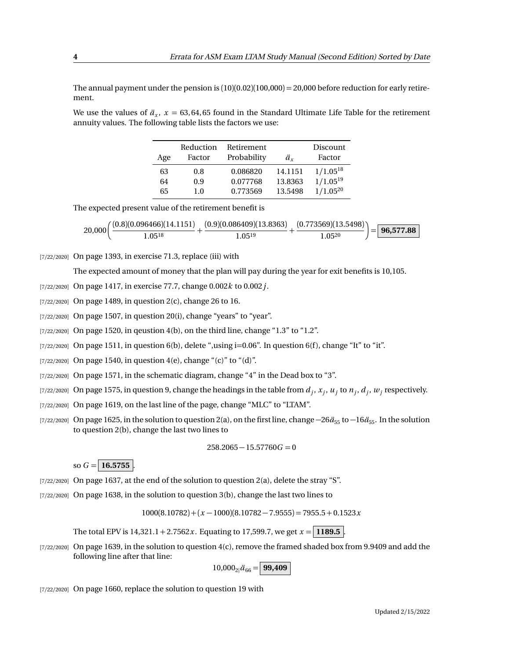The annual payment under the pension is  $(10)(0.02)(100,000) = 20,000$  before reduction for early retirement.

We use the values of  $\ddot{a}_x$ ,  $x = 63,64,65$  found in the Standard Ultimate Life Table for the retirement annuity values. The following table lists the factors we use:

| Age | Reduction<br>Factor | Retirement<br>Probability | ä.      | Discount<br>Factor |
|-----|---------------------|---------------------------|---------|--------------------|
| 63  | 0.8                 | 0.086820                  | 14.1151 | $1/1.05^{18}$      |
| 64  | 0.9                 | 0.077768                  | 13.8363 | $1/1.05^{19}$      |
| 65  | 1.0                 | 0.773569                  | 13.5498 | $1/1.05^{20}$      |

The expected present value of the retirement benefit is

$$
20,000\bigg(\frac{(0.8)(0.096466)(14.1151)}{1.05^{18}} + \frac{(0.9)(0.086409)(13.8363)}{1.05^{19}} + \frac{(0.773569)(13.5498)}{1.05^{20}}\bigg) = \boxed{\textbf{96,577.88}}
$$

## $[7/22/2020]$  On page 1393, in exercise 71.3, replace (iii) with

The expected amount of money that the plan will pay during the year for exit benefits is 10,105.

[7/22/2020] On page 1417, in exercise 77.7, change 0.002*k* to 0.002*j*.

- [7/22/2020] On page 1489, in question 2(c), change 26 to 16.
- [7/22/2020] On page 1507, in question 20(i), change "years" to "year".
- $[7/22/2020]$  On page 1520, in qeustion 4(b), on the third line, change "1.3" to "1.2".
- $[7/22/2020]$  On page 1511, in question 6(b), delete ",using i=0.06". In question 6(f), change "It" to "it".
- [7/22/2020] On page 1540, in question 4(e), change "(c)" to "(d)".
- [7/22/2020] On page 1571, in the schematic diagram, change "4" in the Dead box to "3".
- $\alpha$ <sub>*l*</sub>  $\alpha$ <sub>*z*</sup>). On page 1575, in question 9, change the headings in the table from  $d_j, x_j, u_j$  to  $n_j, d_j, w_j$  respectively.</sub>
- [7/22/2020] On page 1619, on the last line of the page, change "MLC" to "LTAM".
- [7/22/2020] On page 1625, in the solution to question 2(a), on the first line, change  $-26\ddot{a}_{55}$  to  $-16\ddot{a}_{55}$ . In the solution to question 2(b), change the last two lines to

$$
258.2065 - 15.57760G = 0
$$

so  $G = 16.5755$ 

- [7/22/2020] On page 1637, at the end of the solution to question 2(a), delete the stray "S".
- [7/22/2020] On page 1638, in the solution to question 3(b), change the last two lines to

 $1000(8.10782) + (x - 1000)(8.10782 - 7.9555) = 7955.5 + 0.1523x$ 

The total EPV is  $14,321.1 + 2.7562x$ . Equating to 17,599.7, we get  $x = 1189.5$ .

[7/22/2020] On page 1639, in the solution to question 4(c), remove the framed shaded box from 9.9409 and add the following line after that line:

 $10,000_{2}$  $\ddot{a}_{66} =$  **99,409** 

[7/22/2020] On page 1660, replace the solution to question 19 with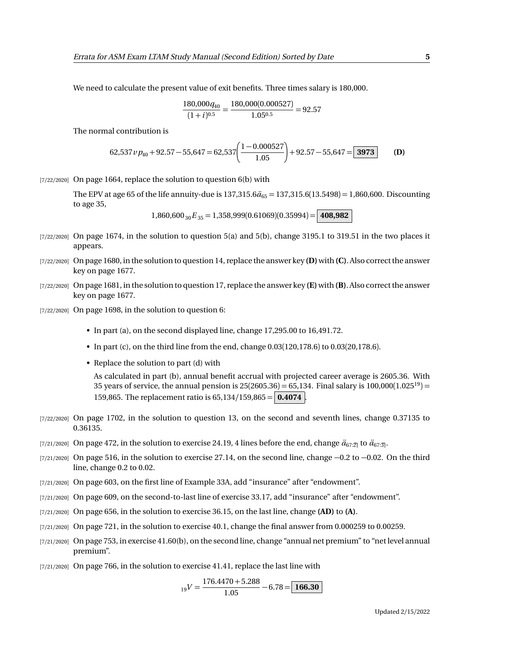We need to calculate the present value of exit benefits. Three times salary is 180,000.

$$
\frac{180,000q_{40}}{(1+i)^{0.5}} = \frac{180,000(0.000527)}{1.05^{0.5}} = 92.57
$$

The normal contribution is

$$
62,537 \nu p_{40} + 92.57 - 55,647 = 62,537 \left( \frac{1 - 0.000527}{1.05} \right) + 92.57 - 55,647 = \boxed{3973}
$$
 (D)

 $[7/22/2020]$  On page 1664, replace the solution to question 6(b) with

The EPV at age 65 of the life annuity-due is  $137,315.6\ddot{a}_{65} = 137,315.6(13.5498) = 1,860,600$ . Discounting to age 35,

 $1,860,600_{30}E_{35} = 1,358,999(0.61069)(0.35994) = 408,982$ 

- $[7/22/2020]$  On page 1674, in the solution to question 5(a) and 5(b), change 3195.1 to 319.51 in the two places it appears.
- [7/22/2020] On page 1680, in the solution to question 14, replace the answer key **(D)**with **(C)**. Also correct the answer key on page 1677.
- [7/22/2020] On page 1681, in the solution to question 17, replace the answer key **(E)** with **(B)**. Also correct the answer key on page 1677.
- [7/22/2020] On page 1698, in the solution to question 6:
	- In part (a), on the second displayed line, change 17,295.00 to 16,491.72.
	- In part (c), on the third line from the end, change 0.03(120,178.6) to 0.03(20,178.6).
	- Replace the solution to part (d) with

As calculated in part (b), annual benefit accrual with projected career average is 2605.36. With 35 years of service, the annual pension is  $25(2605.36) = 65,134$ . Final salary is  $100,000(1.025^{19}) =$ 159,865. The replacement ratio is 65,134/159,865 =  $\vert$  **0.4074**  $\vert$ .

- [7/22/2020] On page 1702, in the solution to question 13, on the second and seventh lines, change 0.37135 to 0.36135.
- [7/21/2020] On page 472, in the solution to exercise 24.19, 4 lines before the end, change  $\ddot{a}_{67:2}$  to  $\ddot{a}_{67:3}$ .
- [7/21/2020] On page 516, in the solution to exercise 27.14, on the second line, change −0.2 to −0.02. On the third line, change 0.2 to 0.02.
- [7/21/2020] On page 603, on the first line of Example 33A, add "insurance" after "endowment".
- [7/21/2020] On page 609, on the second-to-last line of exercise 33.17, add "insurance" after "endowment".
- [7/21/2020] On page 656, in the solution to exercise 36.15, on the last line, change **(AD)** to **(A)**.
- [7/21/2020] On page 721, in the solution to exercise 40.1, change the final answer from 0.000259 to 0.00259.
- [7/21/2020] On page 753, in exercise 41.60(b), on the second line, change "annual net premium" to "net level annual premium".
- $[7/21/2020]$  On page 766, in the solution to exercise 41.41, replace the last line with

$$
_{19}V = \frac{176.4470 + 5.288}{1.05} - 6.78 = \boxed{166.30}
$$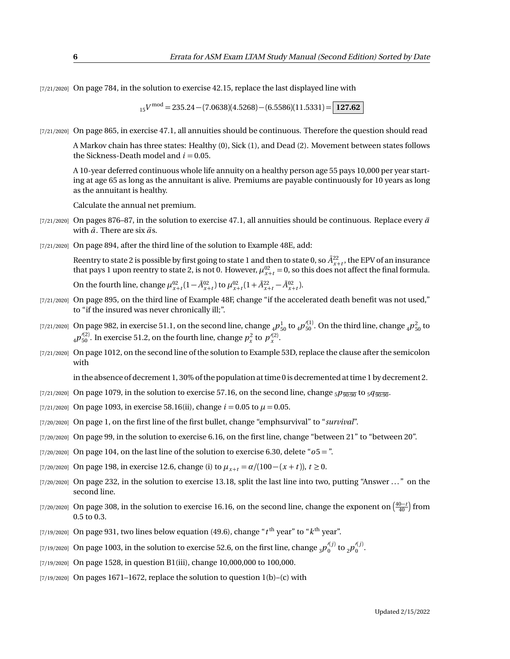[7/21/2020] On page 784, in the solution to exercise 42.15, replace the last displayed line with

<sup>15</sup>*V* mod = 235.24 − (7.0638)(4.5268) − (6.5586)(11.5331) = **127.62**

[7/21/2020] On page 865, in exercise 47.1, all annuities should be continuous. Therefore the question should read

A Markov chain has three states: Healthy (0), Sick (1), and Dead (2). Movement between states follows the Sickness-Death model and  $i = 0.05$ .

A 10-year deferred continuous whole life annuity on a healthy person age 55 pays 10,000 per year starting at age 65 as long as the annuitant is alive. Premiums are payable continuously for 10 years as long as the annuitant is healthy.

Calculate the annual net premium.

- [ $7/21/2020$ ] On pages 876–87, in the solution to exercise 47.1, all annuities should be continuous. Replace every  $\ddot{a}$ with  $\bar{a}$ . There are six  $\ddot{a}$ s.
- [7/21/2020] On page 894, after the third line of the solution to Example 48E, add:

Reentry to state 2 is possible by first going to state 1 and then to state 0, so  $\bar A^{22}_{r+t}$ , the EPV of an insurance that pays 1 upon reentry to state 2, is not 0. However,  $\mu_{x+t}^{02} = 0$ , so this does not affect the final formula.

On the fourth line, change  $\mu_{x+t}^{02} (1 - \bar{A}_{x+t}^{02})$  to  $\mu_{x+t}^{02} (1 + \bar{A}_{x+t}^{22} - \bar{A}_{x+t}^{02})$ .

- [7/21/2020] On page 895, on the third line of Example 48F, change "if the accelerated death benefit was not used," to "if the insured was never chronically ill;".
- [7/21/2020] On page 982, in exercise 51.1, on the second line, change  $_4P_{50}^1$  to  $_4p_{50}^{\prime(1)}$ . On the third line, change  $_4p_{50}^2$  to  $_4p_{50}^{\prime(2)}$ . In exercise 51.2, on the fourth line, change  $p_x^2$  to  $p_x^{\prime(2)}$ .
- [7/21/2020] On page 1012, on the second line of the solution to Example 53D, replace the clause after the semicolon with

in the absence of decrement 1, 30% of the population at time 0 is decremented at time 1 by decrement 2.

- [7/21/2020] On page 1079, in the solution to exercise 57.16, on the second line, change  $_5p_{\overline{90\cdot90}}$  to  $_5q_{\overline{90\cdot90}}$ .
- [7/21/2020] On page 1093, in exercise 58.16(ii), change  $i = 0.05$  to  $\mu = 0.05$ .
- [7/20/2020] On page 1, on the first line of the first bullet, change "emphsurvival" to "*survival*".
- [7/20/2020] On page 99, in the solution to exercise 6.16, on the first line, change "between 21" to "between 20".
- [7/20/2020] On page 104, on the last line of the solution to exercise 6.30, delete "*o*5 = ".
- [7/20/2020] On page 198, in exercise 12.6, change (i) to  $\mu_{x+t} = \alpha/(100 (x + t))$ ,  $t \ge 0$ .
- [7/20/2020] On page 232, in the solution to exercise 13.18, split the last line into two, putting "Answer ..." on the second line.
- [7/20/2020] On page 308, in the solution to exercise 16.16, on the second line, change the exponent on  $\left(\frac{40-t}{40}\right)$  from 0.5 to 0.3.
- $_{\rm [7/19/2020]}$  On page 931, two lines below equation (49.6), change " $t^{\rm th}$  year" to " $k^{\rm th}$  year".
- [7/19/2020] On page 1003, in the solution to exercise 52.6, on the first line, change  $_3p_0'^{(j)}$  to  $_2p_0'^{(j)}.$
- [7/19/2020] On page 1528, in question B1(iii), change 10,000,000 to 100,000.
- $[7/19/2020]$  On pages 1671–1672, replace the solution to question 1(b)–(c) with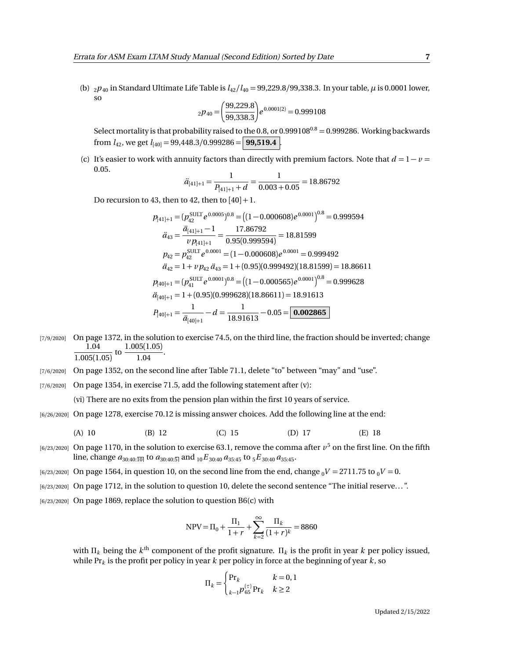(b)  $_2p_{40}$  in Standard Ultimate Life Table is  $l_{42}/l_{40} = 99,229.8/99,338.3$ . In your table,  $\mu$  is 0.0001 lower, so

$$
_{2}p_{40} = \left(\frac{99,229.8}{99,338.3}\right) e^{0.0001(2)} = 0.999108
$$

Select mortality is that probability raised to the 0.8, or 0.999108<sup>0.8</sup> = 0.999286. Working backwards from  $l_{42}$ , we get  $l_{[40]} = 99,448.3/0.999286 =$  **99,519.4** 

(c) It's easier to work with annuity factors than directly with premium factors. Note that  $d = 1 - v =$ 0.05.

$$
\ddot{a}_{[41]+1} = \frac{1}{P_{[41]+1} + d} = \frac{1}{0.003 + 0.05} = 18.86792
$$

Do recursion to 43, then to 42, then to  $[40]+1$ .

$$
p_{[41]+1} = (p_{42}^{\text{SULT}} e^{0.0005})^{0.8} = ((1 - 0.000608)e^{0.0001})^{0.8} = 0.999594
$$
  
\n
$$
\ddot{a}_{43} = \frac{\ddot{a}_{[41]+1} - 1}{v p_{[41]+1}} = \frac{17.86792}{0.95(0.999594)} = 18.81599
$$
  
\n
$$
p_{42} = p_{42}^{\text{SULT}} e^{0.0001} = (1 - 0.000608)e^{0.0001} = 0.999492
$$
  
\n
$$
\ddot{a}_{42} = 1 + v p_{42} \ddot{a}_{43} = 1 + (0.95)(0.999492)(18.81599) = 18.86611
$$
  
\n
$$
p_{[40]+1} = (p_{41}^{\text{SULT}} e^{0.0001})^{0.8} = ((1 - 0.000565)e^{0.0001})^{0.8} = 0.999628
$$
  
\n
$$
\ddot{a}_{[40]+1} = 1 + (0.95)(0.999628)(18.86611) = 18.91613
$$
  
\n
$$
P_{[40]+1} = \frac{1}{\ddot{a}_{[40]+1}} - d = \frac{1}{18.91613} - 0.05 = \boxed{0.002865}
$$

[7/9/2020] On page 1372, in the solution to exercise 74.5, on the third line, the fraction should be inverted; change 1.04  $\frac{1.04}{1.005(1.05)}$  to  $\frac{1.005(1.05)}{1.04}$  $\frac{1.04}{1.04}$ .

- [7/6/2020] On page 1352, on the second line after Table 71.1, delete "to" between "may" and "use".
- $[7/6/2020]$  On page 1354, in exercise 71.5, add the following statement after (v):

(vi) There are no exits from the pension plan within the first 10 years of service.

[6/26/2020] On page 1278, exercise 70.12 is missing answer choices. Add the following line at the end:

(A) 10 (B) 12 (C) 15 (D) 17 (E) 18

- $_{[6/23/2020]}$  On page 1170, in the solution to exercise 63.1, remove the comma after  $v^5$  on the first line. On the fifth line, change  $a_{30:40:\overline{10|}}$  to  $a_{30:40:\overline{5|}}$  and  $_{10}E_{30:40}a_{35:45}$  to  $_{5}E_{30:40}a_{35:45}$ .
- $[6/23/2020]$  On page 1564, in question 10, on the second line from the end, change  $_0V = 2711.75$  to  $_0V = 0$ .
- [6/23/2020] On page 1712, in the solution to question 10, delete the second sentence "The initial reserve. . . ".
- $[6/23/2020]$  On page 1869, replace the solution to question B6(c) with

$$
NPV = \Pi_0 + \frac{\Pi_1}{1+r} + \sum_{k=2}^{\infty} \frac{\Pi_k}{(1+r)^k} = 8860
$$

with  $\Pi_k$  being the  $k^\text{th}$  component of the profit signature.  $\Pi_k$  is the profit in year  $k$  per policy issued, while Pr*<sup>k</sup>* is the profit per policy in year *k* per policy in force at the beginning of year *k*, so

$$
\Pi_{k} = \begin{cases} \Pr_{k} & k = 0, 1\\ \sum_{k=1}^{(\tau)} p_{65}^{(\tau)} \Pr_{k} & k \ge 2 \end{cases}
$$